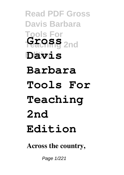**Read PDF Gross Davis Barbara Tools For Teaching 2nd Gross Edition Davis Barbara Tools For Teaching 2nd Edition**

**Across the country,**

Page 1/221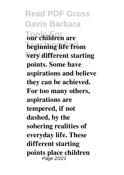**Read PDF Gross Davis Barbara Tools For our children are beginning life from very different starting points. Some have aspirations and believe they can be achieved. For too many others, aspirations are tempered, if not dashed, by the sobering realities of everyday life. These different starting points place children** Page 2/221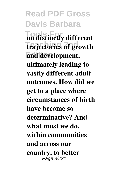**Read PDF Gross Davis Barbara Tools Tools For different trajectories of growth Edition and development, ultimately leading to vastly different adult outcomes. How did we get to a place where circumstances of birth have become so determinative? And what must we do, within communities and across our country, to better** Page 3/221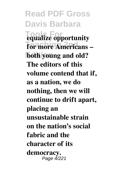**Read PDF Gross Davis Barbara Tools For equalize opportunity For more Americans – Edition both young and old? The editors of this volume contend that if, as a nation, we do nothing, then we will continue to drift apart, placing an unsustainable strain on the nation's social fabric and the character of its democracy.** Page 4/221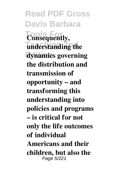**Read PDF Gross Davis Barbara Tools For Consequently, understanding the Edition dynamics governing the distribution and transmission of opportunity – and transforming this understanding into policies and programs – is critical for not only the life outcomes of individual Americans and their children, but also the** Page 5/221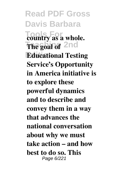**Read PDF Gross Davis Barbara Tools For country as a whole. The goal of** 2nd **Educational Testing Service's Opportunity in America initiative is to explore these powerful dynamics and to describe and convey them in a way that advances the national conversation about why we must take action – and how best to do so. This** Page 6/221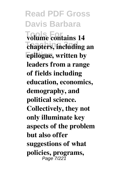**Read PDF Gross Davis Barbara Tools For volume contains 14**  $t$ **chapters, including an Edition epilogue, written by leaders from a range of fields including education, economics, demography, and political science. Collectively, they not only illuminate key aspects of the problem but also offer suggestions of what policies, programs,** Page 7/221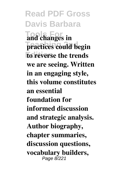**Read PDF Gross Davis Barbara Tools For and changes in practices could begin Edition to reverse the trends we are seeing. Written in an engaging style, this volume constitutes an essential foundation for informed discussion and strategic analysis. Author biography, chapter summaries, discussion questions, vocabulary builders,** Page 8/221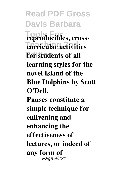**Read PDF Gross Davis Barbara Tools For reproducibles, cross-Teaching 2nd curricular activities Edition for students of all learning styles for the novel Island of the Blue Dolphins by Scott O'Dell. Pauses constitute a simple technique for enlivening and enhancing the effectiveness of lectures, or indeed of any form of** Page 9/221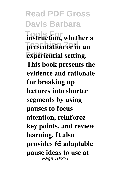**Read PDF Gross Davis Barbara Instruction**, whether a **presentation** or in an **Experiential setting. This book presents the evidence and rationale for breaking up lectures into shorter segments by using pauses to focus attention, reinforce key points, and review learning. It also provides 65 adaptable pause ideas to use at** Page 10/221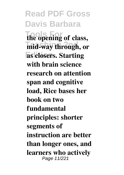**Read PDF Gross Davis Barbara Tools For the opening of class,**  $m$ id-way through, or **Edition as closers. Starting with brain science research on attention span and cognitive load, Rice bases her book on two fundamental principles: shorter segments of instruction are better than longer ones, and learners who actively** Page 11/221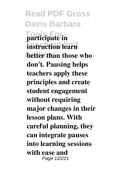**Read PDF Gross Davis Barbara Tools For participate in instruction learn Edition better than those who don't. Pausing helps teachers apply these principles and create student engagement without requiring major changes in their lesson plans. With careful planning, they can integrate pauses into learning sessions with ease and** Page 12/221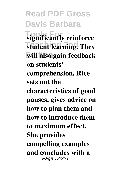**Read PDF Gross Davis Barbara Tools For significantly reinforce Teacht learning. They Edition will also gain feedback on students' comprehension. Rice sets out the characteristics of good pauses, gives advice on how to plan them and how to introduce them to maximum effect. She provides compelling examples and concludes with a** Page 13/221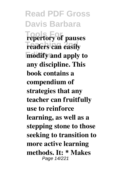**Read PDF Gross Davis Barbara Tools For repertory of pauses Teaders can easily modify and apply to any discipline. This book contains a compendium of strategies that any teacher can fruitfully use to reinforce learning, as well as a stepping stone to those seeking to transition to more active learning methods. It: \* Makes** Page 14/221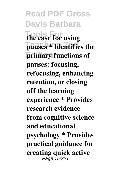**Read PDF Gross Davis Barbara Tools For the case for using pauses \* Identifies the Edition primary functions of pauses: focusing, refocusing, enhancing retention, or closing off the learning experience \* Provides research evidence from cognitive science and educational psychology \* Provides practical guidance for creating quick active** Page 15/221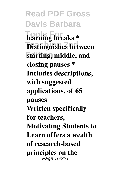**Read PDF Gross Davis Barbara Tools For learning breaks \* Distinguishes between Edition starting, middle, and closing pauses \* Includes descriptions, with suggested applications, of 65 pauses Written specifically for teachers, Motivating Students to Learn offers a wealth of research-based principles on the** Page 16/221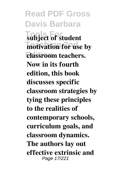**Read PDF Gross Davis Barbara Tools For subject of student motivation for use by Edition classroom teachers. Now in its fourth edition, this book discusses specific classroom strategies by tying these principles to the realities of contemporary schools, curriculum goals, and classroom dynamics. The authors lay out effective extrinsic and** Page 17/221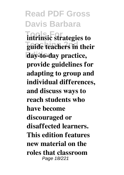**Read PDF Gross Davis Barbara Intrinsic strategies to Teaching 2nd guide teachers in their Edition day-to-day practice, provide guidelines for adapting to group and individual differences, and discuss ways to reach students who have become discouraged or disaffected learners. This edition features new material on the roles that classroom** Page 18/221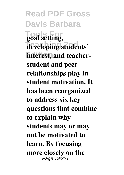**Read PDF Gross Davis Barbara Tools For goal setting,** developing students' **interest, and teacherstudent and peer relationships play in student motivation. It has been reorganized to address six key questions that combine to explain why students may or may not be motivated to learn. By focusing more closely on the** Page 19/221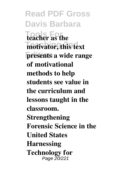**Read PDF Gross Davis Barbara Tools For teacher as the motivator, this text presents a wide range of motivational methods to help students see value in the curriculum and lessons taught in the classroom. Strengthening Forensic Science in the United States Harnessing Technology for** Page 20/221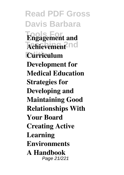**Read PDF Gross Davis Barbara Tools For Engagement and**  $A$ chievement<sup>2</sup>nd **Edition Curriculum Development for Medical Education Strategies for Developing and Maintaining Good Relationships With Your Board Creating Active Learning Environments A Handbook** Page 21/221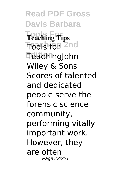**Read PDF Gross Davis Barbara Tools For Teaching Tips Tools for 2nd Edition** TeachingJohn Wiley & Sons Scores of talented and dedicated people serve the forensic science community, performing vitally important work. However, they are often Page 22/221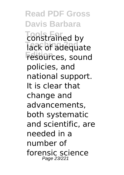**Read PDF Gross Davis Barbara Tools For** constrained by lack of adequate **Edition** resources, sound policies, and national support. It is clear that change and advancements, both systematic and scientific, are needed in a number of forensic science Page 23/221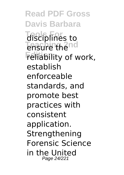**Read PDF Gross Davis Barbara Tools For** disciplines to **Teaching 2nd** ensure the **Feliability of work,** establish enforceable standards, and promote best practices with consistent application. **Strengthening** Forensic Science in the United Page 24/221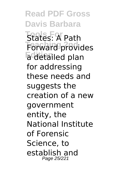**Read PDF Gross Davis Barbara Tools For** States: A Path **Teaching 2nd** Forward provides a<sup>c</sup>detailed plan for addressing these needs and suggests the creation of a new government entity, the National Institute of Forensic Science, to establish and Page 25/221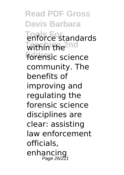**Read PDF Gross Davis Barbara Tools For** enforce standards **Within the 2nd Edition** forensic science community. The benefits of improving and regulating the forensic science disciplines are clear: assisting law enforcement officials, enhancing Page 26/221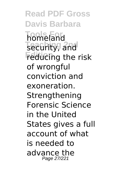**Read PDF Gross Davis Barbara Tools For** homeland **Teaching 2nd** security, and **Feducing the risk** of wrongful conviction and exoneration. Strengthening Forensic Science in the United States gives a full account of what is needed to advance the Page 27/221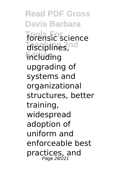**Read PDF Gross Davis Barbara Tools For** forensic science **Teaching 2nd** disciplines, **Fincluding** upgrading of systems and organizational structures, better training, widespread adoption of uniform and enforceable best practices, and Page 28/221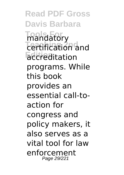**Read PDF Gross Davis Barbara Tools For** mandatory **Teaching 2nd** certification and **Edition** accreditation programs. While this book provides an essential call-toaction for congress and policy makers, it also serves as a vital tool for law enforcement Page 29/221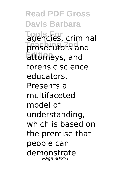**Read PDF Gross Davis Barbara Tools For** agencies, criminal prosecutors and **Edition** attorneys, and forensic science educators. Presents a multifaceted model of understanding, which is based on the premise that people can demonstrate Page 30/221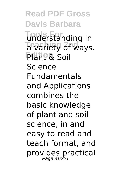**Read PDF Gross Davis Barbara Tools For** understanding in **Tevariety of ways. Plant & Soil** Science Fundamentals and Applications combines the basic knowledge of plant and soil science, in and easy to read and teach format, and provides practical Page 31/221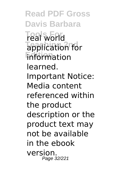**Read PDF Gross Davis Barbara Tools For** real world **Tapplication for Edition** information learned. Important Notice: Media content referenced within the product description or the product text may not be available in the ebook version. Page 32/221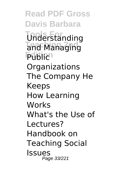**Read PDF Gross Davis Barbara Tools For** Understanding and Managing **Publich Organizations** The Company He Keeps How Learning Works What's the Use of Lectures? Handbook on Teaching Social Issues Page 33/221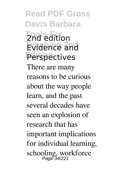**Read PDF Gross Davis Barbara Tools For** 2nd edition **Teaching 2nd** Evidence and **Edition** Perspectives There are many reasons to be curious about the way people learn, and the past several decades have seen an explosion of research that has important implications for individual learning, schooling, workforce Page 34/221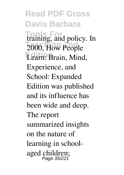**Read PDF Gross Davis Barbara Tools For** training, and policy. In **Z000, How People** Learn: Brain, Mind, Experience, and School: Expanded Edition was published and its influence has been wide and deep. The report summarized insights on the nature of learning in schoolaged children; Page 35/221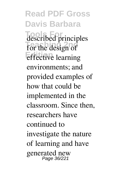**Read PDF Gross Davis Barbara The Towns** for the design of **effective** learning environments; and provided examples of how that could be implemented in the classroom. Since then, researchers have continued to investigate the nature of learning and have generated new Page 36/221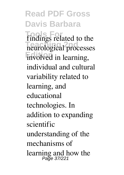**Read PDF Gross Davis Barbara Trindings** related to the **Teaching 2nd** neurological processes involved in learning, individual and cultural variability related to learning, and educational technologies. In addition to expanding scientific understanding of the mechanisms of learning and how the Page 37/221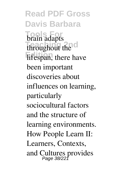**Read PDF Gross Davis Barbara Tools For** brain adapts throughout the **c Edition**, there have been important discoveries about influences on learning, particularly sociocultural factors and the structure of learning environments. How People Learn II: Learners, Contexts, and Cultures provides Page 38/221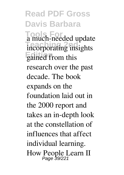**Read PDF Gross Davis Barbara Tools For** a much-needed update **Theorporating insights Edition** gained from this research over the past decade. The book expands on the foundation laid out in the 2000 report and takes an in-depth look at the constellation of influences that affect individual learning. How People Learn II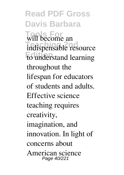**Read PDF Gross Davis Barbara** will become an indispensable resource to understand learning throughout the lifespan for educators of students and adults. Effective science teaching requires creativity, imagination, and innovation. In light of concerns about American science Page 40/221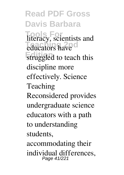**Read PDF Gross Davis Barbara Tools For** literacy, scientists and educators have struggled to teach this discipline more effectively. Science Teaching Reconsidered provides undergraduate science educators with a path to understanding students, accommodating their individual differences, Page 41/221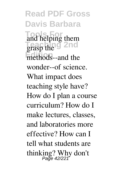**Read PDF Gross Davis Barbara Tools For** and helping them **Teaching 2nd** grasp the methods--and the wonder--of science. What impact does teaching style have? How do I plan a course curriculum? How do I make lectures, classes, and laboratories more effective? How can I tell what students are thinking? Why don't Page 42/221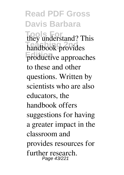**Read PDF Gross Davis Barbara Tools For** they understand? This **handbook** provides productive approaches to these and other questions. Written by scientists who are also educators, the handbook offers suggestions for having a greater impact in the classroom and provides resources for further research. Page 43/221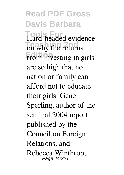**Read PDF Gross Davis Barbara Tools For** Hard-headed evidence **The 2nd** why the returns from investing in girls are so high that no nation or family can afford not to educate their girls. Gene Sperling, author of the seminal 2004 report published by the Council on Foreign Relations, and Rebecca Winthrop, Page 44/221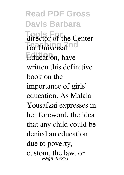**Read PDF Gross Davis Barbara** director of the Center for Universal<sup>nd</sup> Education, have written this definitive book on the importance of girls' education. As Malala Yousafzai expresses in her foreword, the idea that any child could be denied an education due to poverty, custom, the law, or Page 45/221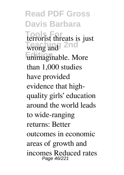**Read PDF Gross Davis Barbara Tools For** terrorist threats is just wrong and 2nd unimaginable. More than 1,000 studies have provided evidence that highquality girls' education around the world leads to wide-ranging returns: Better outcomes in economic areas of growth and incomes Reduced rates Page 46/221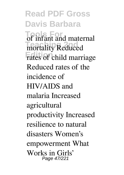**Read PDF Gross Davis Barbara Tools** infant and maternal **The Teacher 2nd** rates of child marriage Reduced rates of the incidence of HIV/AIDS and malaria Increased agricultural productivity Increased resilience to natural disasters Women's empowerment What Works in Girls' Page 47/221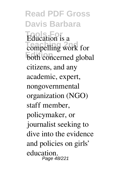**Read PDF Gross Davis Barbara Education** is a **Teaching** work for both concerned global citizens, and any academic, expert, nongovernmental organization (NGO) staff member, policymaker, or journalist seeking to dive into the evidence and policies on girls' education. Page 48/221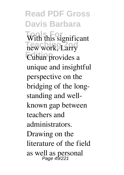**Read PDF Gross Davis Barbara** With this significant **Teaching 2nd** new work, Larry **Edition** Cuban provides a unique and insightful perspective on the bridging of the longstanding and wellknown gap between teachers and administrators. Drawing on the literature of the field as well as personal Page 49/221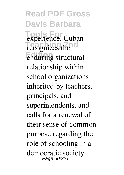**Read PDF Gross Davis Barbara Tools For** experience, Cuban recognizes the **Edition** enduring structural relationship within school organizations inherited by teachers, principals, and superintendents, and calls for a renewal of their sense of common purpose regarding the role of schooling in a democratic society. Page 50/221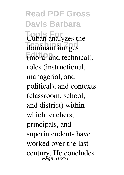**Read PDF Gross Davis Barbara Tools For** Cuban analyzes the **Teaching 2nd** (moral and technical), roles (instructional, managerial, and political), and contexts (classroom, school, and district) within which teachers, principals, and superintendents have worked over the last century. He concludes Page 51/221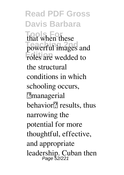**Read PDF Gross Davis Barbara** that when these powerful images and roles are wedded to the structural conditions in which schooling occurs, ?managerial behavior<sup>[7]</sup> results, thus narrowing the potential for more thoughtful, effective, and appropriate leadership. Cuban then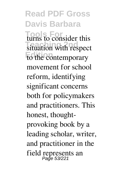**Read PDF Gross Davis Barbara Turns** to consider this situation with respect to the contemporary movement for school reform, identifying significant concerns both for policymakers and practitioners. This honest, thoughtprovoking book by a leading scholar, writer, and practitioner in the field represents an Page 53/221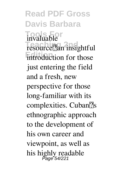**Read PDF Gross Davis Barbara Tools For** invaluable resource<sup>[7]</sup>an insightful introduction for those just entering the field and a fresh, new perspective for those long-familiar with its complexities. Cuban $\sqrt{2}$ s ethnographic approach to the development of his own career and viewpoint, as well as his highly readable Page 54/221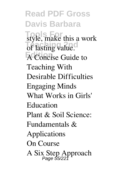**Read PDF Gross Davis Barbara Tools For** style, make this a work of lasting value. **Edition** A Concise Guide to Teaching With Desirable Difficulties Engaging Minds What Works in Girls' Education Plant & Soil Science: Fundamentals & Applications On Course A Six Step Approach Page 55/221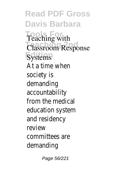**Read PDF Gross Davis Barbara Tools For** Teaching with **Classroom Response Systems** At a time when society is demanding accountability from the medical education system and residency review committees are demanding

Page 56/221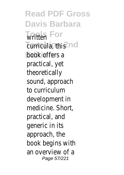**Read PDF Gross Davis Barbara** Written<sup>or</sup> **Tearricula, this**d book offers a practical, yet theoretically sound, approach to curriculum development in medicine. Short, practical, and generic in its approach, the book begins with an overview of a Page 57/221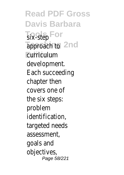**Read PDF Gross Davis Barbara Tools For** six-step **Tapproach tond Edition** curriculum development. Each succeeding chapter then covers one of the six steps: problem identification, targeted needs assessment, goals and objectives, Page 58/221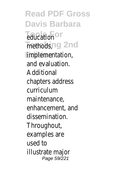**Read PDF Gross Davis Barbara** *<u>Education</u>* **Thethodsg 2nd Edition** implementation, and evaluation. Additional chapters address curriculum maintenance, enhancement, and dissemination. Throughout, examples are used to illustrate major Page 59/221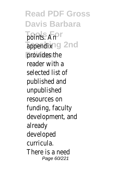**Read PDF Gross Davis Barbara Tools For** points. An **Tappendixg 2nd** provides the reader with a selected list of published and unpublished resources on funding, faculty development, and already developed curricula. There is a need Page 60/221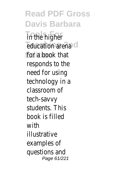**Read PDF Gross Davis Barbara In the higher** *<u>Education</u>* arena **Edition** for a book that responds to the need for using technology in a classroom of tech-savvy students. This book is filled with illustrative examples of questions and Page 61/221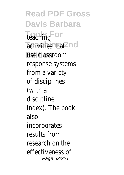**Read PDF Gross Davis Barbara Tools For** teaching **Tactivities** that use classroom response systems from a variety of disciplines (with a discipline index). The book also incorporates results from research on the effectiveness of Page 62/221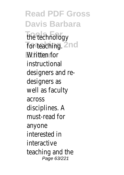**Read PDF Gross Davis Barbara Tools For** the technology **For teaching id Edition** Written for instructional designers and redesigners as well as faculty across disciplines. A must-read for anyone interested in interactive teaching and the Page 63/221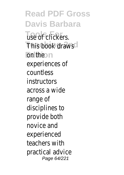**Read PDF Gross Davis Barbara Tools For** use of clickers. **This book draws Edition** on the experiences of countless instructors across a wide range of disciplines to provide both novice and experienced teachers with practical advice Page 64/221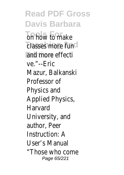**Read PDF Gross Davis Barbara To** how to make *<u>Classes more</u>* fun and more effecti ve."--Eric Mazur, Balkanski Professor of Physics and Applied Physics, Harvard University, and author, Peer Instruction: A User's Manual "Those who come Page 65/221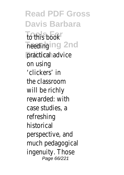**Read PDF Gross Davis Barbara Tools For** to this book **Theeding 2nd** practical advice on using 'clickers' in the classroom will be richly rewarded: with case studies, a refreshing historical perspective, and much pedagogical ingenuity. Those Page 66/221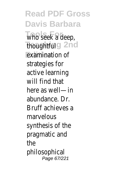**Read PDF Gross Davis Barbara Tools For** who seek a deep, **Teaching 2nd** thoughtful **Edition** examination of strategies for active learning will find that here as well—in abundance. Dr. Bruff achieves a marvelous synthesis of the pragmatic and the philosophical Page 67/221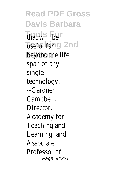**Read PDF Gross Davis Barbara Tools For** that will be **Tiseful far 2nd** beyond the life span of any single technology." --Gardner Campbell, Director, Academy for Teaching and Learning, and Associate Professor of Page 68/221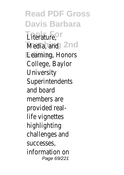**Read PDF Gross Davis Barbara Tools For** Literature, Media, and<sup>2</sup>nd **Edition** Learning, Honors College, Baylor **University** Superintendents and board members are provided reallife vignettes highlighting challenges and successes, information on Page 69/221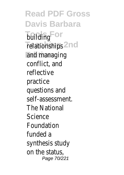**Read PDF Gross Davis Barbara Tonding** or **Teaching 2nd** relationships and managing conflict, and reflective practice questions and self-assessment. The National **Science** Foundation funded a synthesis study on the status, Page 70/221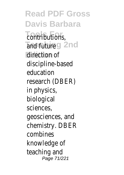**Read PDF Gross Davis Barbara Tools For** contributions, **Teaching 2nd** and future direction of discipline-based education research (DBER) in physics, biological sciences, geosciences, and chemistry. DBER combines knowledge of teaching and Page 71/221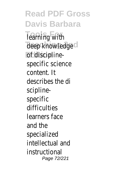**Read PDF Gross Davis Barbara Tools For** learning with deep knowledge **Edition** of disciplinespecific science content. It describes the di sciplinespecific difficulties learners face and the specialized intellectual and instructional Page 72/221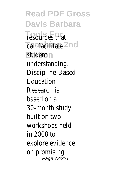**Read PDF Gross Davis Barbara Tools For** resources that *<u>Can facilitate</u>* **Edition** student understanding. Discipline-Based Education Research is based on a 30-month study built on two workshops held in 2008 to explore evidence on promising Page 73/221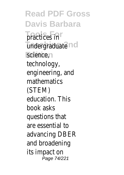**Read PDF Gross Davis Barbara** practices in **Teaching 2nd** undergraduate science, technology, engineering, and mathematics (STEM) education. This book asks questions that are essential to advancing DBER and broadening its impact on Page 74/221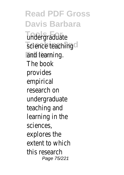**Read PDF Gross Davis Barbara Tools For** undergraduate **Teaching** and learning. The book provides empirical research on undergraduate teaching and learning in the sciences, explores the extent to which this research Page 75/221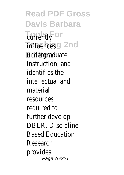**Read PDF Gross Davis Barbara Tools For** currently **Trifluences2nd Edition** undergraduate instruction, and identifies the intellectual and material resources required to further develop DBER. Discipline-Based Education Research provides Page 76/221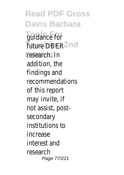**Read PDF Gross Davis Barbara Tools For** guidance for **Future DBER**d research. In addition, the findings and recommendations of this report may invite, if not assist, postsecondary institutions to increase interest and research Page 77/221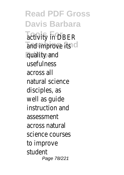**Read PDF Gross Davis Barbara Tools For** activity in DBER **Teaching 2nd** and improve its **Edition** quality and usefulness across all natural science disciples, as well as guide instruction and assessment across natural science courses to improve student Page 78/221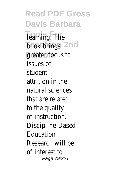**Read PDF Gross Davis Barbara Tools For** learning. The **book** brings d **Edition** greater focus to issues of student attrition in the natural sciences that are related to the quality of instruction. Discipline-Based Education Research will be of interest to Page 79/221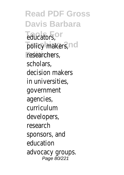**Read PDF Gross Davis Barbara Tools For** educators, policy makers, researchers, scholars, decision makers in universities, government agencies, curriculum developers, research sponsors, and education advocacy groups. Page 80/221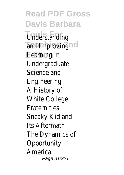**Read PDF Gross Davis Barbara Tools For** Understanding **Teaching 2nd** and Improving **Edition** Learning in Undergraduate Science and Engineering A History of White College **Fraternities** Sneaky Kid and Its Aftermath The Dynamics of Opportunity in America Page 81/221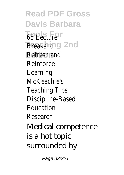**Read PDF Gross Davis Barbara Tools For** 65 Lecture Breaks to 2nd **Edition** Refresh and Reinforce Learning McKeachie's Teaching Tips Discipline-Based Education Research Medical competence is a hot topic surrounded by

Page 82/221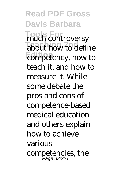**Read PDF Gross Davis Barbara Tools For** much controversy **Teaching 2nd** competency, how to teach it, and how to measure it. While some debate the pros and cons of competence-based medical education and others explain how to achieve various competencies, the Page 83/221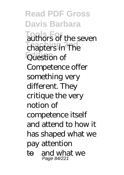**Read PDF Gross Davis Barbara Tools For** authors of the seven **Teaching 2nd** chapters in The **Edition** Question of Competence offer something very different. They critique the very notion of competence itself and attend to how it has shaped what we pay attention to—and what we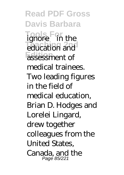**Read PDF Gross Davis Barbara Tools For** ignore—in the *<u>Equidation</u>* **Edition** assessment of medical trainees. Two leading figures in the field of medical education, Brian D. Hodges and Lorelei Lingard, drew together colleagues from the United States, Canada, and the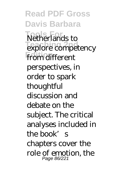**Read PDF Gross Davis Barbara Tools For** Netherlands to **Explore competency** from different perspectives, in order to spark thoughtful discussion and debate on the subject. The critical analyses included in the book's chapters cover the role of emotion, the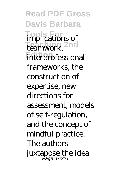**Read PDF Gross Davis Barbara Tools For** implications of teamwork, <sup>2nd</sup> **Edition** interprofessional frameworks, the construction of expertise, new directions for assessment, models of self-regulation, and the concept of mindful practice. The authors juxtapose the idea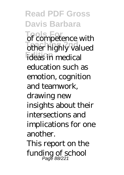**Read PDF Gross Davis Barbara Tools For** of competence with other highly valued **Fideas** in medical education such as emotion, cognition and teamwork, drawing new insights about their intersections and implications for one another. This report on the funding of school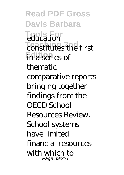**Read PDF Gross Davis Barbara Tools For** education **Teaching 2nd**<br>
constitutes the first **Edition** in a series of thematic comparative reports bringing together findings from the OECD School Resources Review. School systems have limited financial resources with which to Page 89/221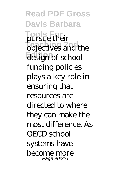**Read PDF Gross Davis Barbara Tools For** pursue their **Telestives** and the **Edition** design of school funding policies plays a key role in ensuring that resources are directed to where they can make the most difference. As OECD school systems have become more Page 90/221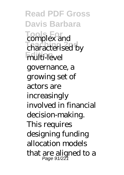**Read PDF Gross Davis Barbara Tools For** complex and **Temperature Edition** multi-level governance, a growing set of actors are increasingly involved in financial decision-making. This requires designing funding allocation models that are aligned to a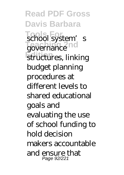**Read PDF Gross Davis Barbara Tool** system's governance **Edition** structures, linking budget planning procedures at different levels to shared educational goals and evaluating the use of school funding to hold decision makers accountable and ensure that Page 92/221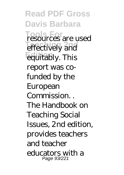**Read PDF Gross Davis Barbara Tools For** resources are used effectively and **Edition** equitably. This report was cofunded by the European Commission. The Handbook on Teaching Social Issues, 2nd edition, provides teachers and teacher educators with a Page 93/221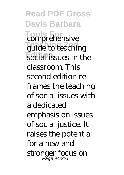**Read PDF Gross Davis Barbara Tools For** comprehensive **Teaching 2nd** guide to teaching social issues in the classroom. This second edition reframes the teaching of social issues with a dedicated emphasis on issues of social justice. It raises the potential for a new and stronger focus on Page 94/221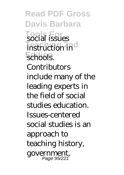**Read PDF Gross Davis Barbara Tools For** social issues **Teaching 2nd** schools. **Contributors** include many of the leading experts in the field of social studies education. Issues-centered social studies is an approach to teaching history, government, Page 95/221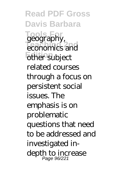**Read PDF Gross Davis Barbara Tools For** geography, **Teaching 2nd** economics and **Edition** other subject related courses through a focus on persistent social issues. The emphasis is on problematic questions that need to be addressed and investigated indepth to increase Page 96/221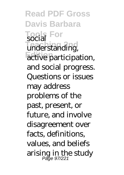**Read PDF Gross Davis Barbara Tools For** social understanding, **Edition** active participation, and social progress. Questions or issues may address problems of the past, present, or future, and involve disagreement over facts, definitions, values, and beliefs arising in the study Page 97/221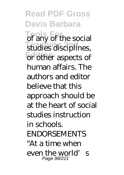**Read PDF Gross Davis Barbara Tools For** of any of the social studies disciplines, **Edition** or other aspects of human affairs. The authors and editor believe that this approach should be at the heart of social studies instruction in schools. ENDORSEMENTS "At a time when even the world's Page 98/221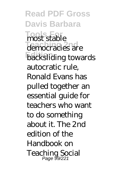**Read PDF Gross Davis Barbara Tools For** most stable **Teaching 2nd** democracies are **backsliding** towards autocratic rule, Ronald Evans has pulled together an essential guide for teachers who want to do something about it. The 2nd edition of the Handbook on Teaching Social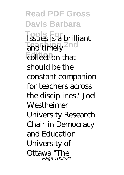**Read PDF Gross Davis Barbara Tools For** Issues is a brilliant and timely <sup>2nd</sup> **Edition** collection that should be the constant companion for teachers across the disciplines." Joel **Westheimer** University Research Chair in Democracy and Education University of Ottawa "The Page 100/221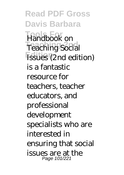**Read PDF Gross Davis Barbara Tools For** Handbook on **Teaching Social Edition** Issues (2nd edition) is a fantastic resource for teachers, teacher educators, and professional development specialists who are interested in ensuring that social issues are at the Page 101/221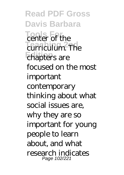**Read PDF Gross Davis Barbara Tools For** center of the **Teaching 2nd** chapters are focused on the most important contemporary thinking about what social issues are, why they are so important for young people to learn about, and what research indicates Page 102/221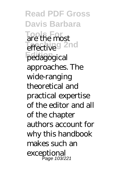**Read PDF Gross Davis Barbara Tools For** are the most effective<sup>9</sup> 2nd **Edition** pedagogical approaches. The wide-ranging theoretical and practical expertise of the editor and all of the chapter authors account for why this handbook makes such an exceptional Page 103/221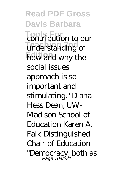**Read PDF Gross Davis Barbara Tools For** contribution to our **Teaching 2nd** understanding of how and why the social issues approach is so important and stimulating." Diana Hess Dean, UW-Madison School of Education Karen A. Falk Distinguished Chair of Education "Democracy, both as Page 104/221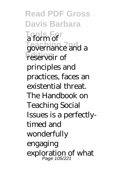**Read PDF Gross Davis Barbara Tools For** a form of **Teaching 2nd** 2 reservoir of principles and practices, faces an existential threat. The Handbook on Teaching Social Issues is a perfectlytimed and wonderfully engaging exploration of what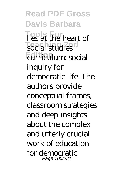**Read PDF Gross Davis Barbara Tools For** lies at the heart of social studies<sup>1</sup> **Edition** curriculum: social inquiry for democratic life. The authors provide conceptual frames, classroom strategies and deep insights about the complex and utterly crucial work of education for democratic Page 106/221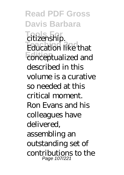**Read PDF Gross Davis Barbara Tools For** citizenship. **Teaching 2nd**<br> **Teaching 2nd**<br> **Teaching 2nd Edition** conceptualized and described in this volume is a curative so needed at this critical moment. Ron Evans and his colleagues have delivered, assembling an outstanding set of contributions to the Page 107/221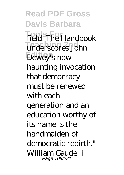**Read PDF Gross Davis Barbara Tools For** field. The Handbook **Teaching 2nd** underscores John **Edition** Dewey's nowhaunting invocation that democracy must be renewed with each generation and an education worthy of its name is the handmaiden of democratic rebirth." William Gaudelli Page 108/221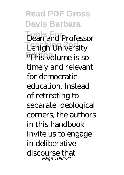**Read PDF Gross Davis Barbara Tools For** Dean and Professor **Lehigh University Example 15** so timely and relevant for democratic education. Instead of retreating to separate ideological corners, the authors in this handbook invite us to engage in deliberative discourse that Page 109/221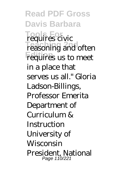**Read PDF Gross Davis Barbara Tools For** requires civic **Teaching 2nd** reasoning and often requires us to meet in a place that serves us all." Gloria Ladson-Billings, Professor Emerita Department of Curriculum & **Instruction** University of **Wisconsin** President, National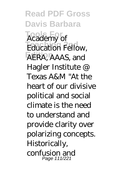**Read PDF Gross Davis Barbara Tools For** Academy of **Teaching 2nd** Education Fellow, **Edition** AERA, AAAS, and Hagler Institute @ Texas A&M "At the heart of our divisive political and social climate is the need to understand and provide clarity over polarizing concepts. Historically, confusion and Page 111/221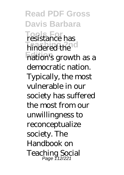**Read PDF Gross Davis Barbara Tools For** resistance has **Teaching 2nd Edition** nation's growth as a democratic nation. Typically, the most vulnerable in our society has suffered the most from our unwillingness to reconceptualize society. The Handbook on Teaching Social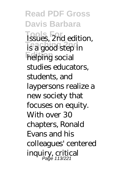**Read PDF Gross Davis Barbara Tools For** Issues, 2nd edition, **Teaching 2nd**<br>is a good step in helping social studies educators, students, and laypersons realize a new society that focuses on equity. With over 30 chapters, Ronald Evans and his colleagues' centered inquiry, critical Page 113/221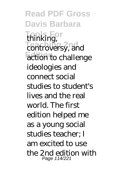**Read PDF Gross Davis Barbara Tools For** controversy, and **Edition** action to challenge thinking, ideologies and connect social studies to student's lives and the real world. The first edition helped me as a young social studies teacher; I am excited to use the 2nd edition with Page 114/221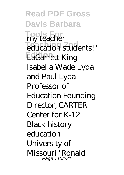**Read PDF Gross Davis Barbara Tools For** my teacher **Education students!" Edition** LaGarrett King Isabella Wade Lyda and Paul Lyda Professor of Education Founding Director, CARTER Center for K-12 Black history education University of Missouri "Ronald Page 115/221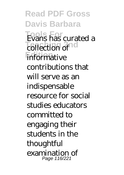**Read PDF Gross Davis Barbara Tools For** Evans has curated a **Teaching 2nd informative** contributions that will serve as an indispensable resource for social studies educators committed to engaging their students in the thoughtful examination of Page 116/221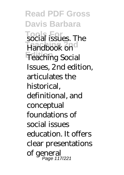**Read PDF Gross Davis Barbara Tools For** social issues. The **Teaching 2nd Edition** Teaching Social Issues, 2nd edition, articulates the historical, definitional, and conceptual foundations of social issues education. It offers clear presentations of general Page 117/221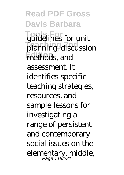**Read PDF Gross Davis Barbara Tools For** guidelines for unit planning, discussion methods, and assessment. It identifies specific teaching strategies, resources, and sample lessons for investigating a range of persistent and contemporary social issues on the elementary, middle, Page 118/221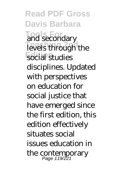**Read PDF Gross Davis Barbara Tools For** and secondary levels through the **Edition** social studies disciplines. Updated with perspectives on education for social justice that have emerged since the first edition, this edition effectively situates social issues education in the contemporary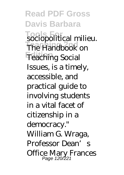**Read PDF Gross Davis Barbara Tools For** sociopolitical milieu. **The Handbook on Edition** Teaching Social Issues, is a timely, accessible, and practical guide to involving students in a vital facet of citizenship in a democracy." William G. Wraga, Professor Dean' Office Mary Frances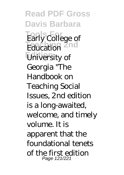**Read PDF Gross Davis Barbara Tools For** Early College of **Teducation Edition** University of Georgia "The Handbook on Teaching Social Issues, 2nd edition is a long-awaited, welcome, and timely volume. It is apparent that the foundational tenets of the first edition Page 121/221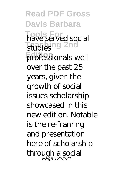**Read PDF Gross Davis Barbara Tools For** have served social **Teaching 2nd Edition** professionals well over the past 25 years, given the growth of social issues scholarship showcased in this new edition. Notable is the re-framing and presentation here of scholarship through a social Page 122/221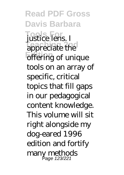**Read PDF Gross Davis Barbara Tools For** justice lens. I **Teaching 2nd Edition** of unique tools on an array of specific, critical topics that fill gaps in our pedagogical content knowledge. This volume will sit right alongside my dog-eared 1996 edition and fortify many methods Page 123/221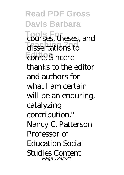**Read PDF Gross Davis Barbara Tools For** courses, theses, and **Teaching 2nd** dissertations to **Edition** come. Sincere thanks to the editor and authors for what I am certain will be an enduring, catalyzing contribution." Nancy C. Patterson Professor of Education Social Studies Content Page 124/221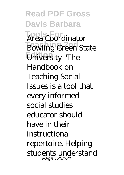**Read PDF Gross Davis Barbara Tools For** Area Coordinator **Teaching Green State Edition** University "The Handbook on Teaching Social Issues is a tool that every informed social studies educator should have in their instructional repertoire. Helping students understand Page 125/221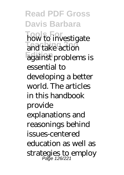**Read PDF Gross Davis Barbara Tools For** how to investigate **Teaching Edition** against problems is essential to developing a better world. The articles in this handbook provide explanations and reasonings behind issues-centered education as well as strategies to employ Page 126/221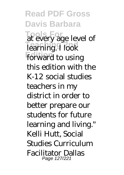**Read PDF Gross Davis Barbara Tools For** at every age level of **Teaching** 1 look forward to using this edition with the K-12 social studies teachers in my district in order to better prepare our students for future learning and living." Kelli Hutt, Social Studies Curriculum Facilitator Dallas Page 127/221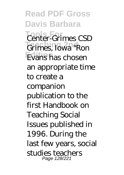**Read PDF Gross Davis Barbara Tools For** Center-Grimes CSD **Teaching 2nd** Grimes, Iowa "Ron Evans has chosen an appropriate time to create a companion publication to the first Handbook on Teaching Social Issues published in 1996. During the last few years, social studies teachers Page 128/221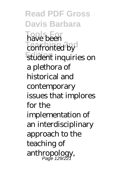**Read PDF Gross Davis Barbara Tools For** have been **Teaching 2nd Edition** student inquiries on a plethora of historical and contemporary issues that implores for the implementation of an interdisciplinary approach to the teaching of anthropology, Page 129/221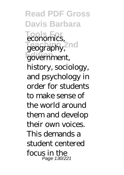**Read PDF Gross Davis Barbara**  $\overline{\textbf{S}}$  For zeography, <sup>2</sup>nd **Edition** government, economics, history, sociology, and psychology in order for students to make sense of the world around them and develop their own voices. This demands a student centered focus in the Page 130/221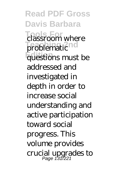**Read PDF Gross Davis Barbara Tools For** classroom where problematic **Edition** questions must be addressed and investigated in depth in order to increase social understanding and active participation toward social progress. This volume provides crucial upgrades to Page 131/221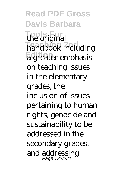**Read PDF Gross Davis Barbara Tools For** the original **Teaching 2nd** handbook including **Edition** a greater emphasis on teaching issues in the elementary grades, the inclusion of issues pertaining to human rights, genocide and sustainability to be addressed in the secondary grades, and addressing Page 132/221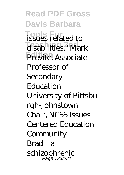**Read PDF Gross Davis Barbara Tools For** issues related to disabilities." Mark Previte, Associate Professor of **Secondary Education** University of Pittsbu rgh-Johnstown Chair, NCSS Issues Centered Education Community Brad—a schizophrenic Page 133/221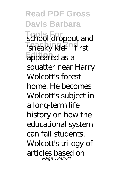**Read PDF Gross Davis Barbara Tools For** school dropout and **Teaching 2nd** 'sneaky kid'—first appeared as a squatter near Harry Wolcott's forest home. He becomes Wolcott's subject in a long-term life history on how the educational system can fail students. Wolcott's trilogy of articles based on Page 134/221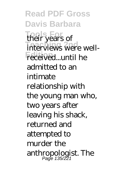**Read PDF Gross Davis Barbara Tools For** their years of interviews were wellreceived...until he admitted to an intimate relationship with the young man who, two years after leaving his shack, returned and attempted to murder the anthropologist. The Page 135/221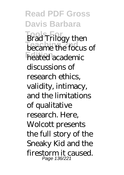**Read PDF Gross Davis Barbara Tools** Frilogy then became the focus of **Freated** academic discussions of research ethics, validity, intimacy, and the limitations of qualitative research. Here, Wolcott presents the full story of the Sneaky Kid and the firestorm it caused. Page 136/221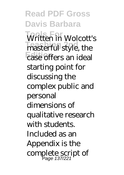**Read PDF Gross Davis Barbara Tools For** Written in Wolcott's **Teaching 2nd** masterful style, the case offers an ideal starting point for discussing the complex public and personal dimensions of qualitative research with students. Included as an Appendix is the complete script of Page 137/221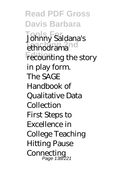**Read PDF Gross Davis Barbara Tools For** Johnny Saldana's ethnodrama<sup>10</sup> **Frecounting the story** in play form. The SAGE Handbook of Qualitative Data Collection First Steps to Excellence in College Teaching Hitting Pause Connecting<br>Page 138/221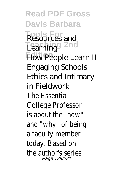**Read PDF Gross Davis Barbara Tools For** Resources and **Teaching 2nd** Learning **How People Learn II** Engaging Schools Ethics and Intimacy in Fieldwork The Essential College Professor is about the "how" and "why" of being a faculty member today. Based on the author's series Page 139/221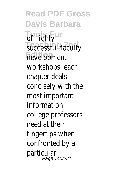**Read PDF Gross Davis Barbara Tools For** of highly *Successful faculty* **Edition** development workshops, each chapter deals concisely with the most important information college professors need at their fingertips when confronted by a particular Page 140/221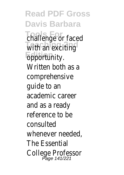**Read PDF Gross Davis Barbara Tools For** challenge or faced **With an exciting Epportunity.** Written both as a comprehensive guide to an academic career and as a ready reference to be consulted whenever needed, The Essential College Professor Page 141/221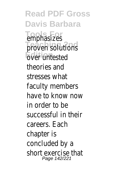**Read PDF Gross Davis Barbara Tools For** emphasizes *<u>Proven</u>* solutions **Edition** over untested theories and stresses what faculty members have to know now in order to be successful in their careers. Each chapter is concluded by a short exercise that Page 142/221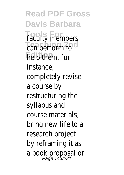**Read PDF Gross Davis Barbara Tools For** faculty members Lan perform to **Fielp** them, for instance, completely revise a course by restructuring the syllabus and course materials, bring new life to a research project by reframing it as a book proposal or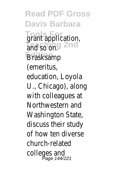**Read PDF Gross Davis Barbara Tools For** grant application, **Teaching 2nd** and so on. **Brasksamp** (emeritus, education, Loyola U., Chicago), along with colleagues at Northwestern and Washington State, discuss their study of how ten diverse church-related colleges and Page 144/221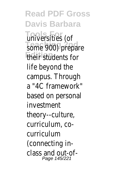**Read PDF Gross Davis Barbara Tools For** universities (of some 900) prepare **Edition** their students for life beyond the campus. Through a "4C framework" based on personal investment theory--culture, curriculum, cocurriculum (connecting inclass and out-of-Page 145/221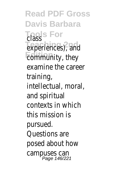**Read PDF Gross Davis Barbara Tools For** class **Teaching 2nd** experiences), and **Edmmunity**, they examine the career training, intellectual, moral, and spiritual contexts in which this mission is pursued. Questions are posed about how campuses can Page 146/221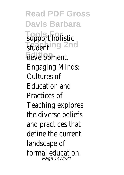**Read PDF Gross Davis Barbara Tools For** support holistic **Teaching 2nd Edition** development. Engaging Minds: Cultures of Education and Practices of Teaching explores the diverse beliefs and practices that define the current landscape of formal education. Page 147/221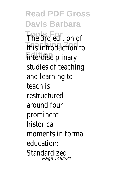**Read PDF Gross Davis Barbara Tools For** The 3rd edition of **Teaching 2nd** this introduction to **Enterdisciplinary** studies of teaching and learning to teach is restructured around four prominent historical moments in formal education: Standardized Page 148/221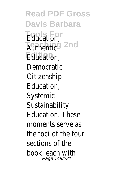**Read PDF Gross Davis Barbara Tools For** Education, **Authentic 2nd** Education, Democratic **Citizenship** Education, Systemic **Sustainability** Education. These moments serve as the foci of the four sections of the book, each with Page 149/221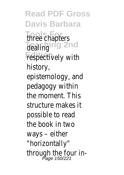**Read PDF Gross Davis Barbara Tools For** three chapters **Tealing** 2nd **Fespectively with** history, epistemology, and pedagogy within the moment. This structure makes it possible to read the book in two ways – either "horizontally" through the four in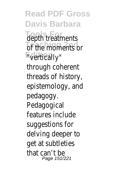**Read PDF Gross Davis Barbara** depth treatments of the moments or **Edition** "vertically" through coherent threads of history, epistemology, and pedagogy. Pedagogical features include suggestions for delving deeper to get at subtleties that can't be Page 151/221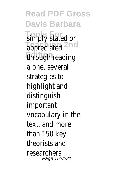**Read PDF Gross Davis Barbara Tools For** simply stated or **Tappreciated**<sup>2nd</sup> **Edition** through reading alone, several strategies to highlight and distinguish important vocabulary in the text, and more than 150 key theorists and researchers Page 152/221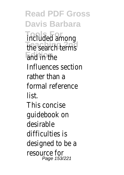**Read PDF Gross Davis Barbara Tools For** included among the search terms and in the Influences section rather than a formal reference list. This concise guidebook on desirable difficulties is designed to be a resource for Page 153/221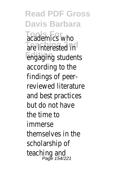**Read PDF Gross Davis Barbara Tools For** academics who are interested in **Edition** engaging students according to the findings of peerreviewed literature and best practices but do not have the time to immerse themselves in the scholarship of teaching and<br><sup>Page 154/221</sup>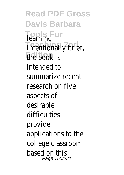**Read PDF Gross Davis Barbara Tools For** learning. **Intentionally brief, Edition** the book is intended to: summarize recent research on five aspects of desirable difficulties; provide applications to the college classroom based on this Page 155/221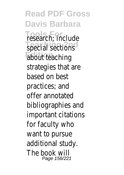**Read PDF Gross Davis Barbara Tools For** research; include special sections about teaching strategies that are based on best practices; and offer annotated bibliographies and important citations for faculty who want to pursue additional study. The book will Page 156/221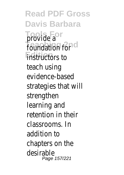**Read PDF Gross Davis Barbara Tools For** provide a **Foundation** for **Edition** instructors to teach using evidence-based strategies that will strengthen learning and retention in their classrooms. In addition to chapters on the desirable Page 157/221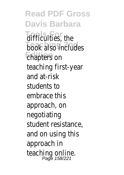**Read PDF Gross Davis Barbara** difficulties, the **book** also includes **Ehapters** on teaching first-year and at-risk students to embrace this approach, on negotiating student resistance, and on using this approach in teaching online.<br>Fage 158/221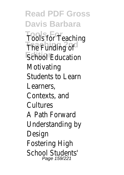**Read PDF Gross Davis Barbara Tools For** Tools for Teaching **The Funding of Edition** School Education Motivating Students to Learn Learners, Contexts, and **Cultures** A Path Forward Understanding by Design Fostering High School Students' Page 159/221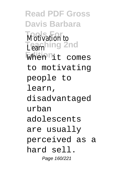**Read PDF Gross Davis Barbara Tools For** Motivation to **Learning 2nd** When<sup>n</sup>it comes to motivating people to learn, disadvantaged urban adolescents are usually perceived as a hard sell. Page 160/221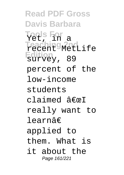**Read PDF Gross Davis Barbara Tools For** Yet, in a **Teaching 2nd** recent MetLife **Edition** survey, 89 percent of the low-income students claimed  $\hat{a} \in \mathbb{R}$ really want to learnâ€ applied to them. What is it about the Page 161/221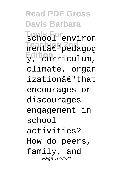**Read PDF Gross Davis Barbara Tools For** school environ **Teaching 2nd** mentâ€"pedagog **Edition** y, curriculum, climate, organ izationâ€"that encourages or discourages engagement in school activities? How do peers, family, and Page 162/221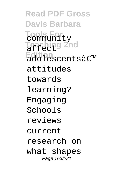**Read PDF Gross Davis Barbara Tools For** community **Teaching 2nd** affect Edition<br>adolescentsâ€<sup>™</sup> attitudes towards learning? Engaging Schools reviews current research on what shapes Page 163/221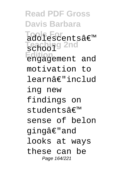**Read PDF Gross Davis Barbara** Tools For<br>adolescentsâ€<sup>™</sup> **Teaching 2nd** school **Edition** engagement and motivation to learnâ€"includ ing new findings on  $students\hat{\pi} \in \mathbb{R}^m$ sense of belon gingâ€"and looks at ways these can be Page 164/221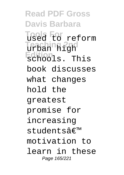**Read PDF Gross Davis Barbara Tools For** used to reform **Teaching 2nd** urban high **Edition** schools. This book discusses what changes hold the greatest promise for increasing students' motivation to learn in these Page 165/221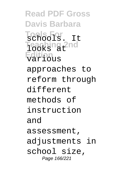**Read PDF Gross Davis Barbara Tools For** schools. It Teaching 2nd **Edition** various approaches to reform through different methods of instruction and assessment, adjustments in school size, Page 166/221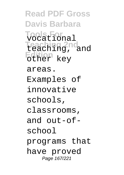**Read PDF Gross Davis Barbara Tools For** vocational **Teaching 2nd** teaching, and **Edition** other key areas. Examples of innovative schools, classrooms, and out-ofschool programs that have proved Page 167/221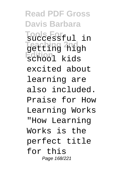**Read PDF Gross Davis Barbara Tools For** successful in **Teaching 2nd** getting high **Edition** school kids excited about learning are also included. Praise for How Learning Works "How Learning Works is the perfect title for this Page 168/221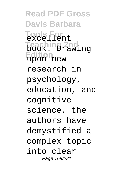**Read PDF Gross Davis Barbara Tools For** excellent **Teaching 2nd** book. Drawing **Edition** upon new research in psychology, education, and cognitive science, the authors have demystified a complex topic into clear Page 169/221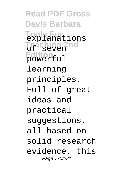**Read PDF Gross Davis Barbara Tools For** explanations **Teaching 2nd** of seven **Edition** powerful learning principles. Full of great ideas and practical suggestions, all based on solid research evidence, this Page 170/221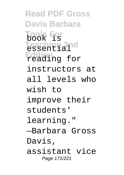**Read PDF Gross Davis Barbara Tools For Teaching 2nd Edition** reading for book is essential instructors at all levels who wish to improve their students' learning." —Barbara Gross Davis, assistant vice Page 171/221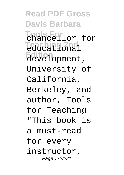**Read PDF Gross Davis Barbara Tools For** chancellor for **Teaching 2nd** educational **Edition** development, University of California, Berkeley, and author, Tools for Teaching "This book is a must-read for every instructor, Page 172/221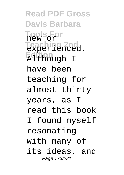**Read PDF Gross Davis Barbara Tools For** new or **Teaching 2nd** experienced. **Edition** Although I have been teaching for almost thirty years, as I read this book I found myself resonating with many of its ideas, and Page 173/221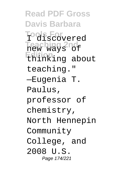**Read PDF Gross Davis Barbara Tools For** I discovered **Teaching 2nd** new ways of **Edition** thinking about teaching." —Eugenia T. Paulus, professor of chemistry, North Hennepin Community College, and 2008 U.S. Page 174/221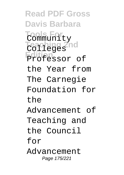**Read PDF Gross Davis Barbara Tools For** Community **Teaching 2nd** Colleges **Edition** Professor of the Year from The Carnegie Foundation for the Advancement of Teaching and the Council for Advancement Page 175/221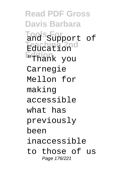**Read PDF Gross Davis Barbara Tools For** and Support of **Teaching 2nd** Education **Edition** "Thank you Carnegie Mellon for making accessible what has previously been inaccessible to those of us Page 176/221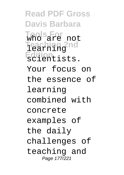**Read PDF Gross Davis Barbara Tools For** who are not **Teaching 2nd** learning **Edition** scientists. Your focus on the essence of learning combined with concrete examples of the daily challenges of teaching and Page 177/221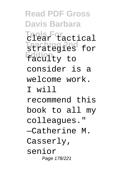**Read PDF Gross Davis Barbara Tools For** clear tactical **Teaching 2nd** strategies for **Edition** faculty to consider is a welcome work. I will recommend this book to all my colleagues." —Catherine M. Casserly, senior Page 178/221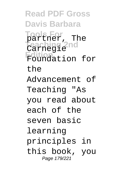**Read PDF Gross Davis Barbara Tools For** partner, The **Teaching 2nd** Carnegie **Edition** Foundation for the Advancement of Teaching "As you read about each of the seven basic learning principles in this book, you Page 179/221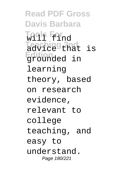**Read PDF Gross Davis Barbara Tools For** will find **Teaching 2nd** advice that is **Edition** grounded in learning theory, based on research evidence, relevant to college teaching, and easy to understand. Page 180/221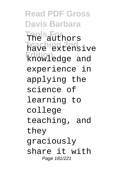**Read PDF Gross Davis Barbara Tools For** The authors **Teaching 2nd** have extensive **Edition** knowledge and experience in applying the science of learning to college teaching, and they graciously share it with Page 181/221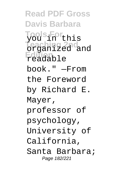**Read PDF Gross Davis Barbara Tools For** you in this **Teaching 2nd** organized and **Edition** readable book." —From the Foreword by Richard E. Mayer, professor of psychology, University of California, Santa Barbara; Page 182/221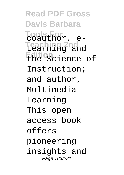**Read PDF Gross Davis Barbara Tools For Teaching 2nd** Learning and **Edition** the Science of coauthor, e-Instruction; and author, Multimedia Learning This open access book offers pioneering insights and Page 183/221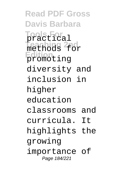**Read PDF Gross Davis Barbara Tools For** practical **Teaching 2nd** methods for **Edition** promoting diversity and inclusion in higher education classrooms and curricula. It highlights the growing importance of Page 184/221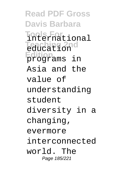**Read PDF Gross Davis Barbara Tools For** international **Teaching 2nd** education **Edition** programs in Asia and the value of understanding student diversity in a changing, evermore interconnected world. The Page 185/221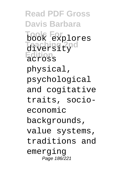**Read PDF Gross Davis Barbara Tools For** book explores **Teaching 2nd** diversity **Edition** across physical, psychological and cogitative traits, socioeconomic backgrounds, value systems, traditions and emerging Page 186/221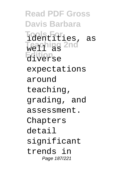**Read PDF Gross Davis Barbara Tools For** identities, as **Teaching 2nd** well as **Edition** diverse expectations around teaching, grading, and assessment. Chapters detail significant trends in Page 187/221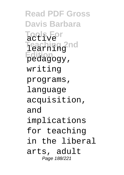**Read PDF Gross Davis Barbara Tools For** active **Teaching 2nd** learning **Edition** pedagogy, writing programs, language acquisition, and implications for teaching in the liberal arts, adult Page 188/221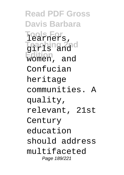**Read PDF Gross Davis Barbara Tools For Teaching 2nd Edition** women, and learners, girls and Confucian heritage communities. A quality, relevant, 21st Century education should address multifaceted Page 189/221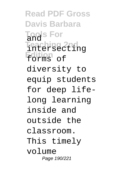**Read PDF Gross Davis Barbara Tools For** and **Teaching 2nd** intersecting **Edition** forms of diversity to equip students for deep lifelong learning inside and outside the classroom. This timely volume Page 190/221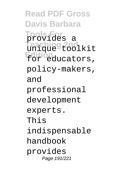**Read PDF Gross Davis Barbara Tools For** provides a **Teaching 2nd** unique toolkit **Edition** for educators, policy-makers, and professional development experts. This indispensable handbook provides Page 191/221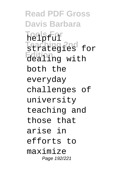**Read PDF Gross Davis Barbara Tools For** helpful **Teaching 2nd** strategies for **Edition**<br>dealing with both the everyday challenges of university teaching and those that arise in efforts to maximize Page 192/221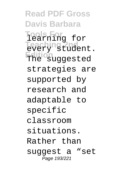**Read PDF Gross Davis Barbara Tools For** learning for **Teaching 2nd** every student. **Edition** The suggested strategies are supported by research and adaptable to specific classroom situations. Rather than suggest a "set Page 193/221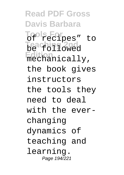**Read PDF Gross Davis Barbara Tools For** of recipes" to **Teaching 2nd** be followed **Edition** mechanically, the book gives instructors the tools they need to deal with the everchanging dynamics of teaching and learning. Page 194/221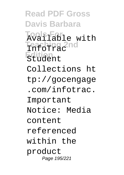**Read PDF Gross Davis Barbara Tools For** Available with **Teaching 2nd** InfoTrac **Edition** Student Collections ht tp://gocengage .com/infotrac. Important Notice: Media content referenced within the product Page 195/221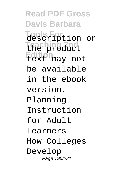**Read PDF Gross Davis Barbara Tools For** description or **Teaching 2nd** the product **Edition** text may not be available in the ebook version. Planning Instruction for Adult Learners How Colleges Develop Page 196/221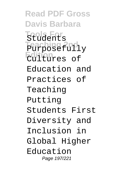**Read PDF Gross Davis Barbara Tools For Teaching 2nd** Purposefully **Edition** Cultures of Students Education and Practices of Teaching Putting Students First Diversity and Inclusion in Global Higher Education Page 197/221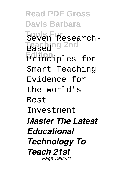**Read PDF Gross Davis Barbara Tools For** Seven Research-**Teaching 2nd** Based **Edition** Principles for Smart Teaching Evidence for the World's Best Investment *Master The Latest Educational Technology To Teach 21st* Page 198/221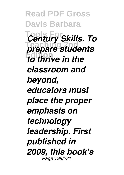**Read PDF Gross Davis Barbara Tools For** *Century Skills. To* **Teaching 2nd** *prepare students* **to thrive in the** *classroom and beyond, educators must place the proper emphasis on technology leadership. First published in 2009, this book's* Page 199/221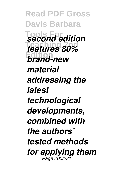**Read PDF Gross Davis Barbara Tools For** *second edition* **Teaching 2nd** *features 80%* **Edition** *brand-new material addressing the latest technological developments, combined with the authors' tested methods for applying them* Page 200/221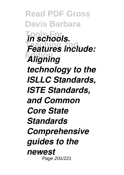**Read PDF Gross Davis Barbara Tools For** *in schools.* **Features include: Edition** *Aligning technology to the ISLLC Standards, ISTE Standards, and Common Core State Standards Comprehensive guides to the newest* Page 201/221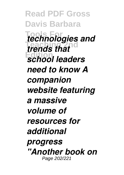**Read PDF Gross Davis Barbara Tools For** *technologies and trends that* **Edition** *school leaders need to know A companion website featuring a massive volume of resources for additional progress "Another book on* Page 202/221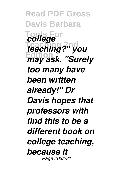**Read PDF Gross Davis Barbara** *College* **Teaching 2nd** *teaching?" you* **Edition** *may ask. "Surely too many have been written already!" Dr Davis hopes that professors with find this to be a different book on college teaching, because it* Page 203/221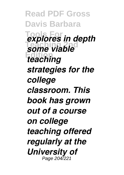**Read PDF Gross Davis Barbara Tools For** *explores in depth* some viable **Edition** *teaching strategies for the college classroom. This book has grown out of a course on college teaching offered regularly at the University of* Page 204/221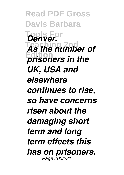**Read PDF Gross Davis Barbara Tools For** *Denver.* **Teaching 2nd** *As the number of* **Edition** *prisoners in the UK, USA and elsewhere continues to rise, so have concerns risen about the damaging short term and long term effects this has on prisoners.* Page 205/221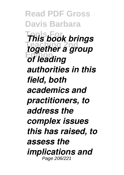**Read PDF Gross Davis Barbara Tools For** *This book brings* **The 2001 2nd 2nd 2016 Edition** *of leading authorities in this field, both academics and practitioners, to address the complex issues this has raised, to assess the implications and* Page 206/221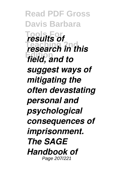**Read PDF Gross Davis Barbara Tools For** *results of* **Tesearch in this Edition** *field, and to suggest ways of mitigating the often devastating personal and psychological consequences of imprisonment. The SAGE Handbook of* Page 207/221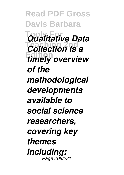**Read PDF Gross Davis Barbara Tools For** *Qualitative Data* **Teaching 2nd** *Collection is a* **Edition** *timely overview of the methodological developments available to social science researchers, covering key themes including:* Page 208/221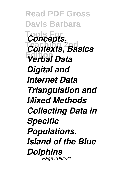**Read PDF Gross Davis Barbara Tools For** *Concepts,* **Teaching 2nd** *Contexts, Basics* **Edition** *Verbal Data Digital and Internet Data Triangulation and Mixed Methods Collecting Data in Specific Populations. Island of the Blue Dolphins* Page 209/221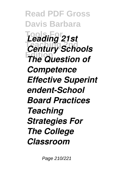**Read PDF Gross Davis Barbara Tools For** *Leading 21st* **Teaching 2nd** *Century Schools* **Edition** *The Question of Competence Effective Superint endent-School Board Practices Teaching Strategies For The College Classroom*

Page 210/221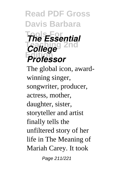## **Read PDF Gross Davis Barbara Tools For** *The Essential* **College**<sup>2nd</sup> **Edition** *Professor*

The global icon, awardwinning singer, songwriter, producer, actress, mother, daughter, sister, storyteller and artist finally tells the unfiltered story of her life in The Meaning of Mariah Carey. It took

Page 211/221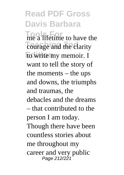## **Read PDF Gross Davis Barbara**

**Tools For** me a lifetime to have the **Teaching 2nd** the clarity **Edition** to write my memoir. I want to tell the story of the moments – the ups and downs, the triumphs and traumas, the debacles and the dreams – that contributed to the person I am today. Though there have been countless stories about me throughout my career and very public Page 212/221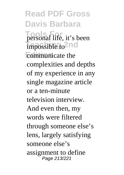**Read PDF Gross Davis Barbara** personal life, it's been  $impossible$ <sub>to</sub><sup>2</sup>nd communicate the complexities and depths of my experience in any single magazine article or a ten-minute television interview. And even then, my words were filtered through someone else's lens, largely satisfying someone else's assignment to define Page 213/221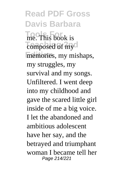**Read PDF Gross Davis Barbara Tools For** me. This book is composed of my memories, my mishaps, my struggles, my survival and my songs. Unfiltered. I went deep into my childhood and gave the scared little girl inside of me a big voice. I let the abandoned and ambitious adolescent have her say, and the betrayed and triumphant woman I became tell her Page 214/221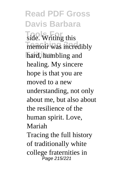**Read PDF Gross Davis Barbara Tools** For **Writing** this memoir was incredibly hard, humbling and healing. My sincere hope is that you are moved to a new understanding, not only about me, but also about the resilience of the human spirit. Love, Mariah Tracing the full history of traditionally white college fraternities in Page 215/221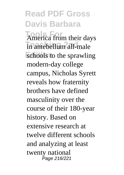## **Read PDF Gross Davis Barbara America** from their days **In antebellum all male** schools to the sprawling modern-day college

campus, Nicholas Syrett reveals how fraternity brothers have defined masculinity over the course of their 180-year history. Based on extensive research at twelve different schools and analyzing at least twenty national Page 216/221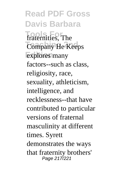**Read PDF Gross Davis Barbara Tools For** fraternities, The **Company He Keeps** explores many factors--such as class, religiosity, race, sexuality, athleticism, intelligence, and recklessness--that have contributed to particular versions of fraternal masculinity at different times. Syrett demonstrates the ways that fraternity brothers' Page 217/221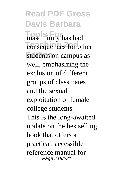**Read PDF Gross Davis Barbara Tools For** masculinity has had consequences for other students on campus as well, emphasizing the exclusion of different groups of classmates and the sexual exploitation of female college students. This is the long-awaited update on the bestselling book that offers a practical, accessible reference manual for Page 218/221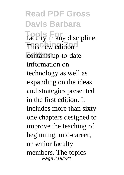**Read PDF Gross Davis Barbara** faculty in any discipline. **This new edition** contains up-to-date information on technology as well as expanding on the ideas and strategies presented in the first edition. It includes more than sixtyone chapters designed to improve the teaching of beginning, mid-career, or senior faculty members. The topics Page 219/221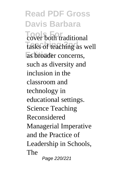**Read PDF Gross Davis Barbara Tools** For **The Tools** tasks of teaching as well as broader concerns, such as diversity and inclusion in the classroom and technology in educational settings. Science Teaching Reconsidered Managerial Imperative and the Practice of Leadership in Schools, The Page 220/221